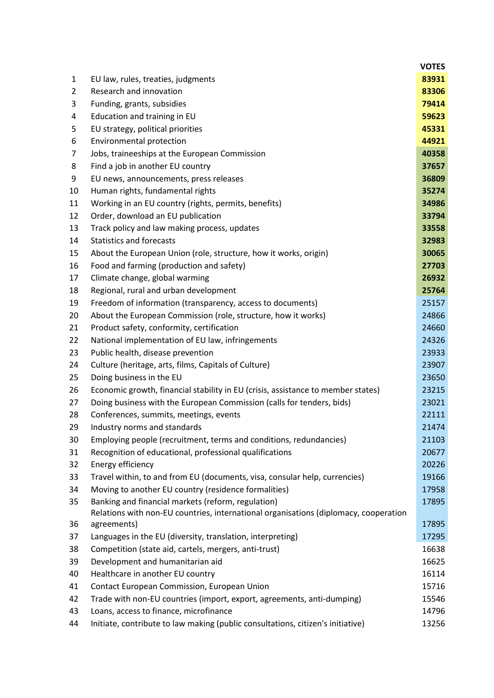|    |                                                                                                                                            | <b>VOTES</b> |
|----|--------------------------------------------------------------------------------------------------------------------------------------------|--------------|
| 1  | EU law, rules, treaties, judgments                                                                                                         | 83931        |
| 2  | Research and innovation                                                                                                                    | 83306        |
| 3  | Funding, grants, subsidies                                                                                                                 | 79414        |
| 4  | Education and training in EU                                                                                                               | 59623        |
| 5  | EU strategy, political priorities                                                                                                          | 45331        |
| 6  | Environmental protection                                                                                                                   | 44921        |
| 7  | Jobs, traineeships at the European Commission                                                                                              | 40358        |
| 8  | Find a job in another EU country                                                                                                           | 37657        |
| 9  | EU news, announcements, press releases                                                                                                     | 36809        |
| 10 | Human rights, fundamental rights                                                                                                           | 35274        |
| 11 | Working in an EU country (rights, permits, benefits)                                                                                       | 34986        |
| 12 | Order, download an EU publication                                                                                                          | 33794        |
| 13 | Track policy and law making process, updates                                                                                               | 33558        |
| 14 | <b>Statistics and forecasts</b>                                                                                                            | 32983        |
| 15 | About the European Union (role, structure, how it works, origin)                                                                           | 30065        |
| 16 | Food and farming (production and safety)                                                                                                   | 27703        |
| 17 | Climate change, global warming                                                                                                             | 26932        |
| 18 | Regional, rural and urban development                                                                                                      | 25764        |
| 19 | Freedom of information (transparency, access to documents)                                                                                 | 25157        |
| 20 | About the European Commission (role, structure, how it works)                                                                              | 24866        |
| 21 | Product safety, conformity, certification                                                                                                  | 24660        |
| 22 | National implementation of EU law, infringements                                                                                           | 24326        |
| 23 | Public health, disease prevention                                                                                                          | 23933        |
| 24 | Culture (heritage, arts, films, Capitals of Culture)                                                                                       | 23907        |
| 25 | Doing business in the EU                                                                                                                   | 23650        |
| 26 | Economic growth, financial stability in EU (crisis, assistance to member states)                                                           | 23215        |
| 27 | Doing business with the European Commission (calls for tenders, bids)                                                                      | 23021        |
| 28 | Conferences, summits, meetings, events                                                                                                     | 22111        |
| 29 | Industry norms and standards                                                                                                               | 21474        |
| 30 | Employing people (recruitment, terms and conditions, redundancies)                                                                         | 21103        |
| 31 | Recognition of educational, professional qualifications                                                                                    | 20677        |
| 32 | Energy efficiency                                                                                                                          | 20226        |
| 33 | Travel within, to and from EU (documents, visa, consular help, currencies)                                                                 | 19166        |
| 34 | Moving to another EU country (residence formalities)                                                                                       | 17958        |
| 35 | Banking and financial markets (reform, regulation)<br>Relations with non-EU countries, international organisations (diplomacy, cooperation | 17895        |
| 36 | agreements)                                                                                                                                | 17895        |
| 37 | Languages in the EU (diversity, translation, interpreting)                                                                                 | 17295        |
| 38 | Competition (state aid, cartels, mergers, anti-trust)                                                                                      | 16638        |
| 39 | Development and humanitarian aid                                                                                                           | 16625        |
| 40 | Healthcare in another EU country                                                                                                           | 16114        |
| 41 | Contact European Commission, European Union                                                                                                | 15716        |
| 42 | Trade with non-EU countries (import, export, agreements, anti-dumping)                                                                     | 15546        |
| 43 | Loans, access to finance, microfinance                                                                                                     | 14796        |
| 44 | Initiate, contribute to law making (public consultations, citizen's initiative)                                                            | 13256        |
|    |                                                                                                                                            |              |